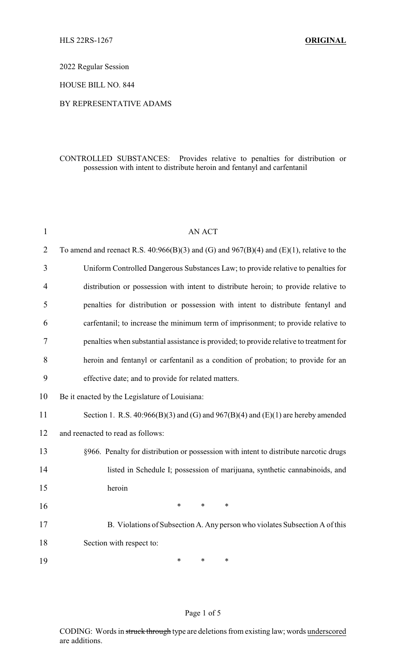2022 Regular Session

HOUSE BILL NO. 844

#### BY REPRESENTATIVE ADAMS

## CONTROLLED SUBSTANCES: Provides relative to penalties for distribution or possession with intent to distribute heroin and fentanyl and carfentanil

| $\mathbf{1}$   | <b>AN ACT</b>                                                                                |
|----------------|----------------------------------------------------------------------------------------------|
| $\overline{2}$ | To amend and reenact R.S. $40:966(B)(3)$ and (G) and $967(B)(4)$ and (E)(1), relative to the |
| 3              | Uniform Controlled Dangerous Substances Law; to provide relative to penalties for            |
| 4              | distribution or possession with intent to distribute heroin; to provide relative to          |
| 5              | penalties for distribution or possession with intent to distribute fentanyl and              |
| 6              | carfentanil; to increase the minimum term of imprisonment; to provide relative to            |
| 7              | penalties when substantial assistance is provided; to provide relative to treatment for      |
| 8              | heroin and fentanyl or carfentanil as a condition of probation; to provide for an            |
| 9              | effective date; and to provide for related matters.                                          |
| 10             | Be it enacted by the Legislature of Louisiana:                                               |
| 11             | Section 1. R.S. $40:966(B)(3)$ and (G) and $967(B)(4)$ and (E)(1) are hereby amended         |
| 12             | and reenacted to read as follows:                                                            |
| 13             | §966. Penalty for distribution or possession with intent to distribute narcotic drugs        |
| 14             | listed in Schedule I; possession of marijuana, synthetic cannabinoids, and                   |
| 15             | heroin                                                                                       |
| 16             | $\ast$<br>$\ast$<br>$\ast$                                                                   |
| 17             | B. Violations of Subsection A. Any person who violates Subsection A of this                  |
| 18             | Section with respect to:                                                                     |
| 19             | *<br>$\ast$<br>*                                                                             |

#### Page 1 of 5

CODING: Words in struck through type are deletions from existing law; words underscored are additions.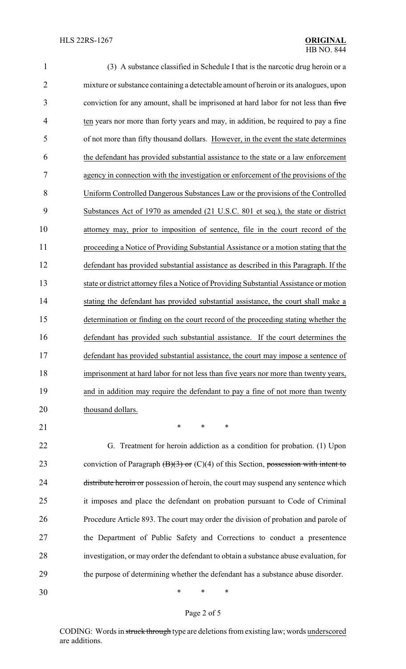| $\mathbf{1}$   | (3) A substance classified in Schedule I that is the narcotic drug heroin or a          |
|----------------|-----------------------------------------------------------------------------------------|
| $\overline{c}$ | mixture or substance containing a detectable amount of heroin or its analogues, upon    |
| 3              | conviction for any amount, shall be imprisoned at hard labor for not less than five     |
| 4              | ten years nor more than forty years and may, in addition, be required to pay a fine     |
| 5              | of not more than fifty thousand dollars. However, in the event the state determines     |
| 6              | the defendant has provided substantial assistance to the state or a law enforcement     |
| 7              | agency in connection with the investigation or enforcement of the provisions of the     |
| 8              | Uniform Controlled Dangerous Substances Law or the provisions of the Controlled         |
| 9              | Substances Act of 1970 as amended (21 U.S.C. 801 et seq.), the state or district        |
| 10             | attorney may, prior to imposition of sentence, file in the court record of the          |
| 11             | proceeding a Notice of Providing Substantial Assistance or a motion stating that the    |
| 12             | defendant has provided substantial assistance as described in this Paragraph. If the    |
| 13             | state or district attorney files a Notice of Providing Substantial Assistance or motion |
| 14             | stating the defendant has provided substantial assistance, the court shall make a       |
| 15             | determination or finding on the court record of the proceeding stating whether the      |
| 16             | defendant has provided such substantial assistance. If the court determines the         |
| 17             | defendant has provided substantial assistance, the court may impose a sentence of       |
| 18             | imprisonment at hard labor for not less than five years nor more than twenty years,     |
| 19             | and in addition may require the defendant to pay a fine of not more than twenty         |
| 20             | thousand dollars.                                                                       |
| 21             | $\ast$<br>$\ast$<br>∗                                                                   |
| 22             | G. Treatment for heroin addiction as a condition for probation. (1) Upon                |
| 23             | conviction of Paragraph $(B)(3)$ or $(C)(4)$ of this Section, possession with intent to |
| 24             | distribute heroin or possession of heroin, the court may suspend any sentence which     |
| 25             | it imposes and place the defendant on probation pursuant to Code of Criminal            |
| 26             | Procedure Article 893. The court may order the division of probation and parole of      |
| 27             | the Department of Public Safety and Corrections to conduct a presentence                |

29 the purpose of determining whether the defendant has a substance abuse disorder.

28 investigation, or may order the defendant to obtain a substance abuse evaluation, for

30 \* \* \*

# Page 2 of 5

CODING: Words in struck through type are deletions from existing law; words underscored are additions.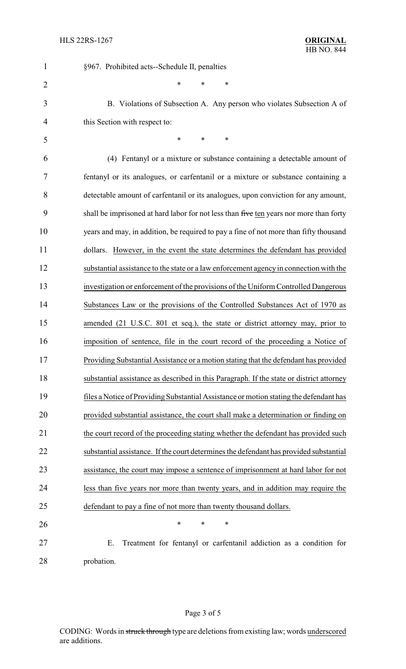| 1              | §967. Prohibited acts--Schedule II, penalties                                            |
|----------------|------------------------------------------------------------------------------------------|
| $\overline{2}$ | $\ast$<br>*<br>*                                                                         |
| 3              | B. Violations of Subsection A. Any person who violates Subsection A of                   |
| 4              | this Section with respect to:                                                            |
| 5              | *<br>*<br>$\ast$                                                                         |
| 6              | (4) Fentanyl or a mixture or substance containing a detectable amount of                 |
| 7              | fentanyl or its analogues, or carfentanil or a mixture or substance containing a         |
| 8              | detectable amount of carfentanil or its analogues, upon conviction for any amount,       |
| 9              | shall be imprisoned at hard labor for not less than five ten years nor more than forty   |
| 10             | years and may, in addition, be required to pay a fine of not more than fifty thousand    |
| 11             | However, in the event the state determines the defendant has provided<br>dollars.        |
| 12             | substantial assistance to the state or a law enforcement agency in connection with the   |
| 13             | investigation or enforcement of the provisions of the Uniform Controlled Dangerous       |
| 14             | Substances Law or the provisions of the Controlled Substances Act of 1970 as             |
| 15             | amended (21 U.S.C. 801 et seq.), the state or district attorney may, prior to            |
| 16             | imposition of sentence, file in the court record of the proceeding a Notice of           |
| 17             | Providing Substantial Assistance or a motion stating that the defendant has provided     |
| 18             | substantial assistance as described in this Paragraph. If the state or district attorney |
| 19             | files a Notice of Providing Substantial Assistance or motion stating the defendant has   |
| 20             | provided substantial assistance, the court shall make a determination or finding on      |
| 21             | the court record of the proceeding stating whether the defendant has provided such       |
| 22             | substantial assistance. If the court determines the defendant has provided substantial   |
| 23             | assistance, the court may impose a sentence of imprisonment at hard labor for not        |
| 24             | less than five years nor more than twenty years, and in addition may require the         |
| 25             | defendant to pay a fine of not more than twenty thousand dollars.                        |
| 26             | ∗<br>∗<br>∗                                                                              |
| 27             | Treatment for fentanyl or carfentanil addiction as a condition for<br>Ε.                 |
| 28             | probation.                                                                               |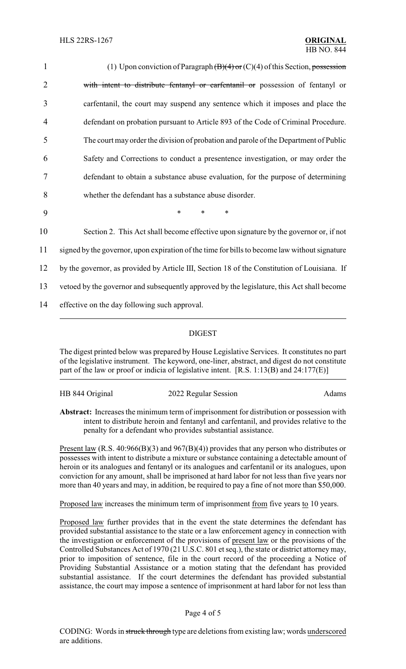| $\mathbf{1}$   | (1) Upon conviction of Paragraph $(\overline{B})(4)$ or $(C)(4)$ of this Section, possession  |
|----------------|-----------------------------------------------------------------------------------------------|
| $\overline{2}$ | with intent to distribute fentanyl or carfentanil or possession of fentanyl or                |
| 3              | carfentanil, the court may suspend any sentence which it imposes and place the                |
| 4              | defendant on probation pursuant to Article 893 of the Code of Criminal Procedure.             |
| 5              | The court may order the division of probation and parole of the Department of Public          |
| 6              | Safety and Corrections to conduct a presentence investigation, or may order the               |
| 7              | defendant to obtain a substance abuse evaluation, for the purpose of determining              |
| 8              | whether the defendant has a substance abuse disorder.                                         |
| 9              | $\ast$<br>*<br>*                                                                              |
| 10             | Section 2. This Act shall become effective upon signature by the governor or, if not          |
| 11             | signed by the governor, upon expiration of the time for bills to become law without signature |
| 12             | by the governor, as provided by Article III, Section 18 of the Constitution of Louisiana. If  |
| 13             | vetoed by the governor and subsequently approved by the legislature, this Act shall become    |
| 14             | effective on the day following such approval.                                                 |
|                |                                                                                               |

### DIGEST

The digest printed below was prepared by House Legislative Services. It constitutes no part of the legislative instrument. The keyword, one-liner, abstract, and digest do not constitute part of the law or proof or indicia of legislative intent. [R.S. 1:13(B) and 24:177(E)]

HB 844 Original 2022 Regular Session Adams

**Abstract:** Increases the minimum term of imprisonment for distribution or possession with intent to distribute heroin and fentanyl and carfentanil, and provides relative to the penalty for a defendant who provides substantial assistance.

Present law (R.S. 40:966(B)(3) and 967(B)(4)) provides that any person who distributes or possesses with intent to distribute a mixture or substance containing a detectable amount of heroin or its analogues and fentanyl or its analogues and carfentanil or its analogues, upon conviction for any amount, shall be imprisoned at hard labor for not less than five years nor more than 40 years and may, in addition, be required to pay a fine of not more than \$50,000.

Proposed law increases the minimum term of imprisonment from five years to 10 years.

Proposed law further provides that in the event the state determines the defendant has provided substantial assistance to the state or a law enforcement agency in connection with the investigation or enforcement of the provisions of present law or the provisions of the Controlled Substances Act of 1970 (21 U.S.C. 801 et seq.), the state or district attorney may, prior to imposition of sentence, file in the court record of the proceeding a Notice of Providing Substantial Assistance or a motion stating that the defendant has provided substantial assistance. If the court determines the defendant has provided substantial assistance, the court may impose a sentence of imprisonment at hard labor for not less than